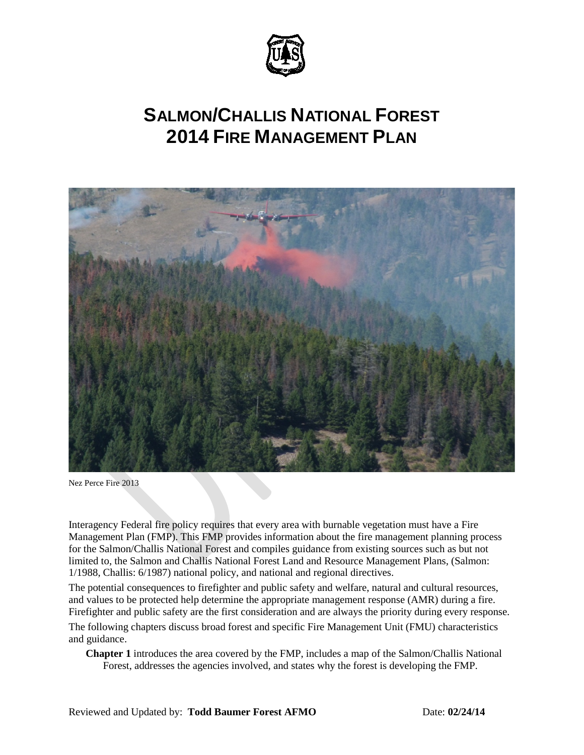

# **SALMON/CHALLIS NATIONAL FOREST 2014 FIRE MANAGEMENT PLAN**



Nez Perce Fire 2013

Interagency Federal fire policy requires that every area with burnable vegetation must have a Fire Management Plan (FMP). This FMP provides information about the fire management planning process for the Salmon/Challis National Forest and compiles guidance from existing sources such as but not limited to, the Salmon and Challis National Forest Land and Resource Management Plans, (Salmon: 1/1988, Challis: 6/1987) national policy, and national and regional directives.

The potential consequences to firefighter and public safety and welfare, natural and cultural resources, and values to be protected help determine the appropriate management response (AMR) during a fire. Firefighter and public safety are the first consideration and are always the priority during every response.

The following chapters discuss broad forest and specific Fire Management Unit (FMU) characteristics and guidance.

**Chapter 1** introduces the area covered by the FMP, includes a map of the Salmon/Challis National Forest, addresses the agencies involved, and states why the forest is developing the FMP.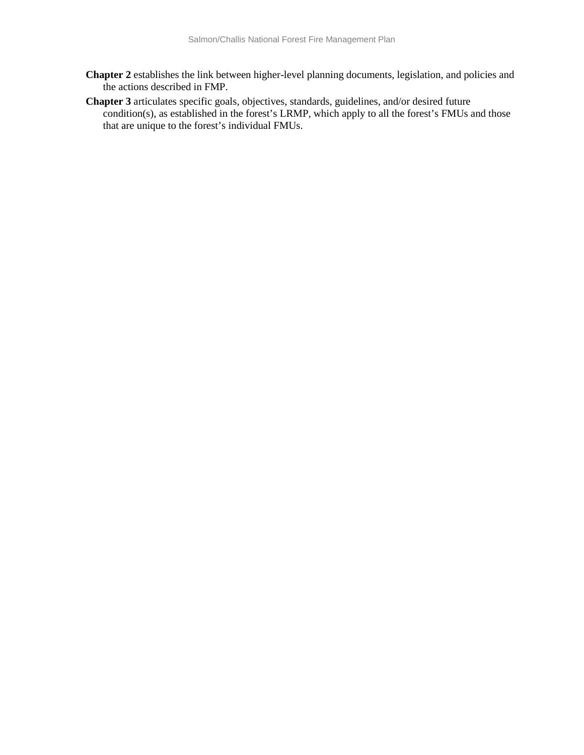- **Chapter 2** establishes the link between higher-level planning documents, legislation, and policies and the actions described in FMP.
- **Chapter 3** articulates specific goals, objectives, standards, guidelines, and/or desired future condition(s), as established in the forest's LRMP, which apply to all the forest's FMUs and those that are unique to the forest's individual FMUs.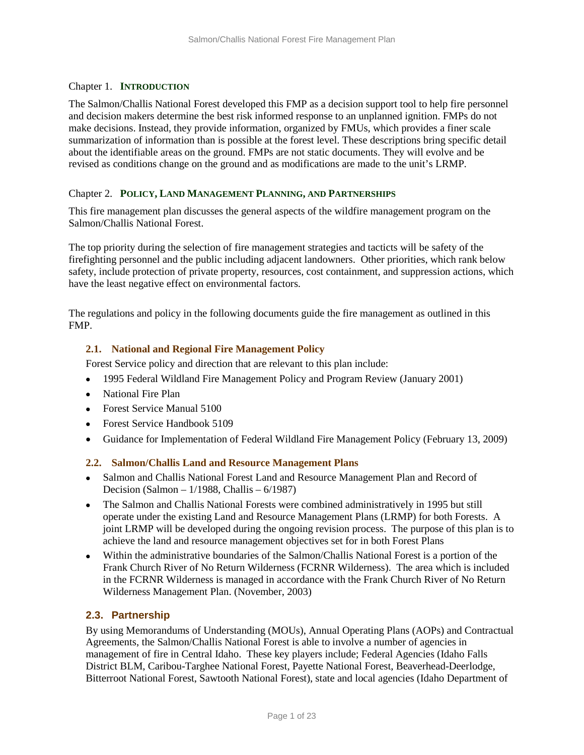## Chapter 1. **INTRODUCTION**

The Salmon/Challis National Forest developed this FMP as a decision support tool to help fire personnel and decision makers determine the best risk informed response to an unplanned ignition. FMPs do not make decisions. Instead, they provide information, organized by FMUs, which provides a finer scale summarization of information than is possible at the forest level. These descriptions bring specific detail about the identifiable areas on the ground. FMPs are not static documents. They will evolve and be revised as conditions change on the ground and as modifications are made to the unit's LRMP.

## Chapter 2. **POLICY, LAND MANAGEMENT PLANNING, AND PARTNERSHIPS**

This fire management plan discusses the general aspects of the wildfire management program on the Salmon/Challis National Forest.

The top priority during the selection of fire management strategies and tacticts will be safety of the firefighting personnel and the public including adjacent landowners. Other priorities, which rank below safety, include protection of private property, resources, cost containment, and suppression actions, which have the least negative effect on environmental factors.

The regulations and policy in the following documents guide the fire management as outlined in this FMP.

# **2.1. National and Regional Fire Management Policy**

Forest Service policy and direction that are relevant to this plan include:

- 1995 Federal Wildland Fire Management Policy and Program Review (January 2001)
- National Fire Plan
- Forest Service Manual 5100
- Forest Service Handbook 5109
- Guidance for Implementation of Federal Wildland Fire Management Policy (February 13, 2009)

## **2.2. Salmon/Challis Land and Resource Management Plans**

- Salmon and Challis National Forest Land and Resource Management Plan and Record of Decision (Salmon – 1/1988, Challis – 6/1987)
- The Salmon and Challis National Forests were combined administratively in 1995 but still operate under the existing Land and Resource Management Plans (LRMP) for both Forests. A joint LRMP will be developed during the ongoing revision process. The purpose of this plan is to achieve the land and resource management objectives set for in both Forest Plans
- Within the administrative boundaries of the Salmon/Challis National Forest is a portion of the Frank Church River of No Return Wilderness (FCRNR Wilderness). The area which is included in the FCRNR Wilderness is managed in accordance with the Frank Church River of No Return Wilderness Management Plan. (November, 2003)

# **2.3. Partnership**

By using Memorandums of Understanding (MOUs), Annual Operating Plans (AOPs) and Contractual Agreements, the Salmon/Challis National Forest is able to involve a number of agencies in management of fire in Central Idaho. These key players include; Federal Agencies (Idaho Falls District BLM, Caribou-Targhee National Forest, Payette National Forest, Beaverhead-Deerlodge, Bitterroot National Forest, Sawtooth National Forest), state and local agencies (Idaho Department of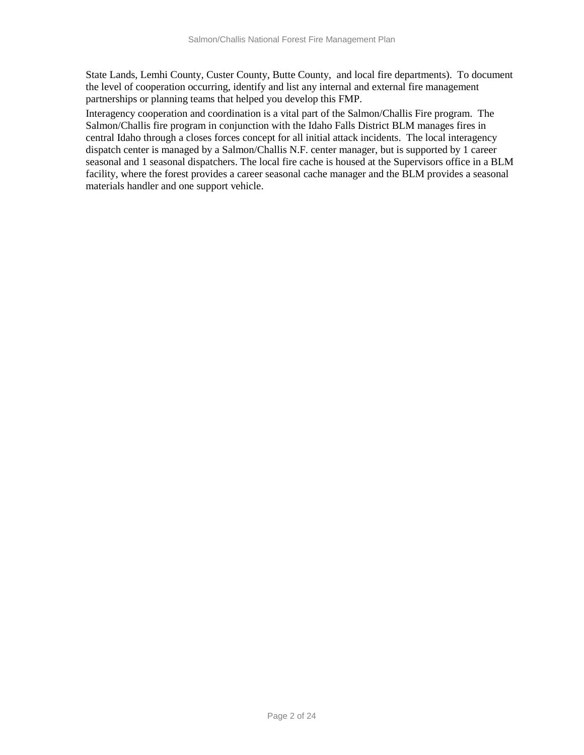State Lands, Lemhi County, Custer County, Butte County, and local fire departments). To document the level of cooperation occurring, identify and list any internal and external fire management partnerships or planning teams that helped you develop this FMP.

Interagency cooperation and coordination is a vital part of the Salmon/Challis Fire program. The Salmon/Challis fire program in conjunction with the Idaho Falls District BLM manages fires in central Idaho through a closes forces concept for all initial attack incidents. The local interagency dispatch center is managed by a Salmon/Challis N.F. center manager, but is supported by 1 career seasonal and 1 seasonal dispatchers. The local fire cache is housed at the Supervisors office in a BLM facility, where the forest provides a career seasonal cache manager and the BLM provides a seasonal materials handler and one support vehicle.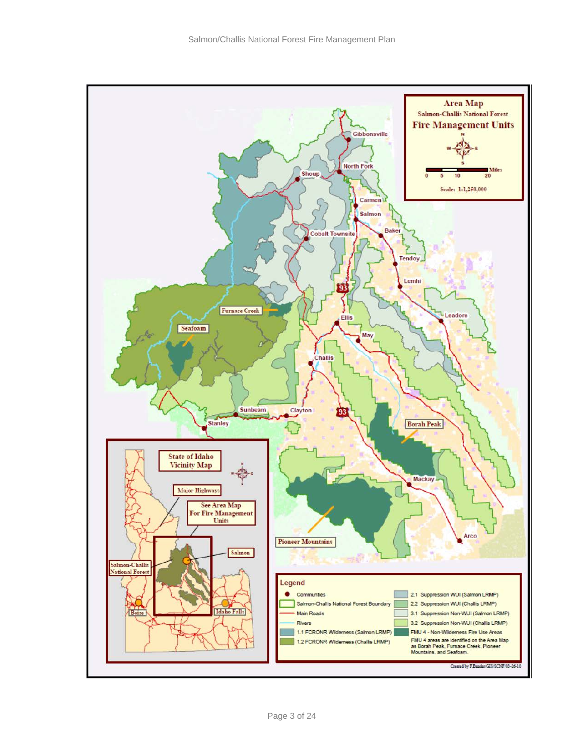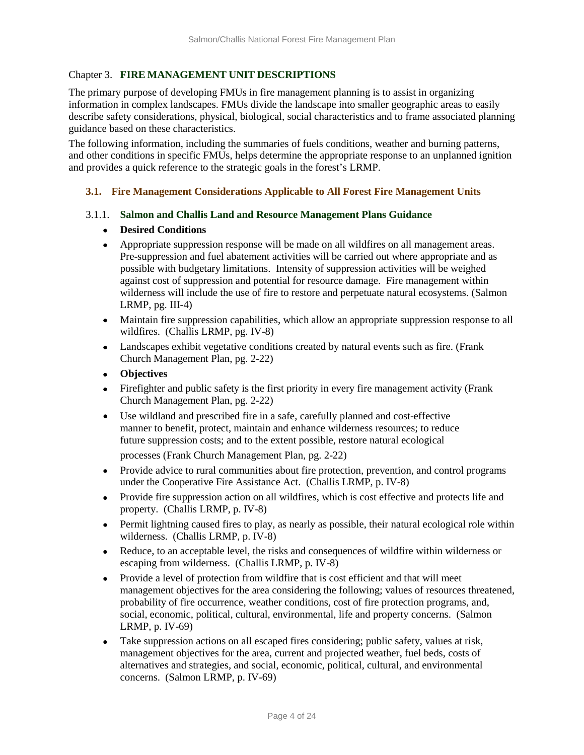## Chapter 3. **FIRE MANAGEMENT UNIT DESCRIPTIONS**

The primary purpose of developing FMUs in fire management planning is to assist in organizing information in complex landscapes. FMUs divide the landscape into smaller geographic areas to easily describe safety considerations, physical, biological, social characteristics and to frame associated planning guidance based on these characteristics.

The following information, including the summaries of fuels conditions, weather and burning patterns, and other conditions in specific FMUs, helps determine the appropriate response to an unplanned ignition and provides a quick reference to the strategic goals in the forest's LRMP.

#### **3.1. Fire Management Considerations Applicable to All Forest Fire Management Units**

#### 3.1.1. **Salmon and Challis Land and Resource Management Plans Guidance**

#### • **Desired Conditions**

- Appropriate suppression response will be made on all wildfires on all management areas. Pre-suppression and fuel abatement activities will be carried out where appropriate and as possible with budgetary limitations. Intensity of suppression activities will be weighed against cost of suppression and potential for resource damage. Fire management within wilderness will include the use of fire to restore and perpetuate natural ecosystems. (Salmon LRMP, pg. III-4)
- Maintain fire suppression capabilities, which allow an appropriate suppression response to all wildfires. (Challis LRMP, pg. IV-8)
- Landscapes exhibit vegetative conditions created by natural events such as fire. (Frank Church Management Plan, pg. 2-22)
- **Objectives**
- Firefighter and public safety is the first priority in every fire management activity (Frank Church Management Plan, pg. 2-22)
- Use wildland and prescribed fire in a safe, carefully planned and cost-effective manner to benefit, protect, maintain and enhance wilderness resources; to reduce future suppression costs; and to the extent possible, restore natural ecological

processes (Frank Church Management Plan, pg. 2-22)

- Provide advice to rural communities about fire protection, prevention, and control programs under the Cooperative Fire Assistance Act. (Challis LRMP, p. IV-8)
- Provide fire suppression action on all wildfires, which is cost effective and protects life and property. (Challis LRMP, p. IV-8)
- Permit lightning caused fires to play, as nearly as possible, their natural ecological role within wilderness. (Challis LRMP, p. IV-8)
- Reduce, to an acceptable level, the risks and consequences of wildfire within wilderness or escaping from wilderness. (Challis LRMP, p. IV-8)
- Provide a level of protection from wildfire that is cost efficient and that will meet management objectives for the area considering the following; values of resources threatened, probability of fire occurrence, weather conditions, cost of fire protection programs, and, social, economic, political, cultural, environmental, life and property concerns. (Salmon LRMP, p. IV-69)
- Take suppression actions on all escaped fires considering; public safety, values at risk, management objectives for the area, current and projected weather, fuel beds, costs of alternatives and strategies, and social, economic, political, cultural, and environmental concerns. (Salmon LRMP, p. IV-69)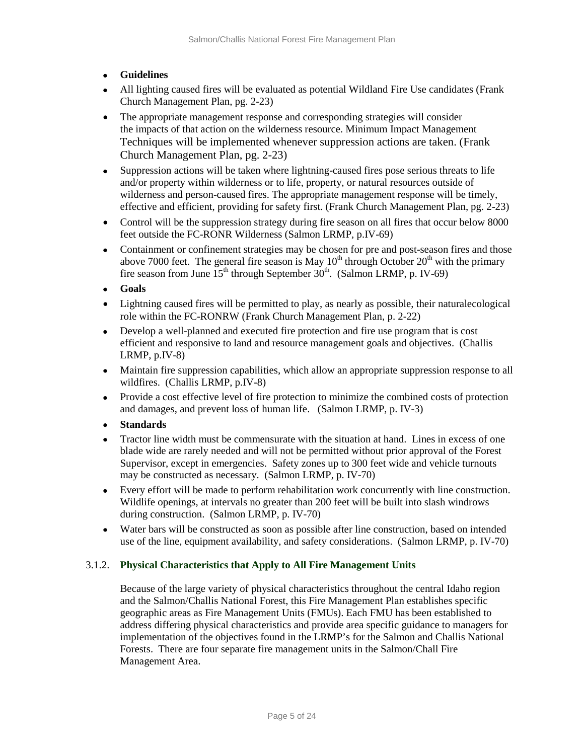- **Guidelines**
- All lighting caused fires will be evaluated as potential Wildland Fire Use candidates (Frank Church Management Plan, pg. 2-23)
- The appropriate management response and corresponding strategies will consider the impacts of that action on the wilderness resource. Minimum Impact Management Techniques will be implemented whenever suppression actions are taken. (Frank Church Management Plan, pg. 2-23)
- Suppression actions will be taken where lightning-caused fires pose serious threats to life and/or property within wilderness or to life, property, or natural resources outside of wilderness and person-caused fires. The appropriate management response will be timely, effective and efficient, providing for safety first. (Frank Church Management Plan, pg. 2-23)
- Control will be the suppression strategy during fire season on all fires that occur below 8000 feet outside the FC-RONR Wilderness (Salmon LRMP, p.IV-69)
- Containment or confinement strategies may be chosen for pre and post-season fires and those above 7000 feet. The general fire season is May  $10^{th}$  through October  $20^{th}$  with the primary fire season from June  $15^{th}$  through September  $30^{th}$ . (Salmon LRMP, p. IV-69)
- **Goals**
- Lightning caused fires will be permitted to play, as nearly as possible, their naturalecological role within the FC-RONRW (Frank Church Management Plan, p. 2-22)
- Develop a well-planned and executed fire protection and fire use program that is cost efficient and responsive to land and resource management goals and objectives. (Challis LRMP, p.IV-8)
- Maintain fire suppression capabilities, which allow an appropriate suppression response to all wildfires. (Challis LRMP, p.IV-8)
- Provide a cost effective level of fire protection to minimize the combined costs of protection and damages, and prevent loss of human life. (Salmon LRMP, p. IV-3)
- **Standards**
- Tractor line width must be commensurate with the situation at hand. Lines in excess of one blade wide are rarely needed and will not be permitted without prior approval of the Forest Supervisor, except in emergencies. Safety zones up to 300 feet wide and vehicle turnouts may be constructed as necessary. (Salmon LRMP, p. IV-70)
- Every effort will be made to perform rehabilitation work concurrently with line construction. Wildlife openings, at intervals no greater than 200 feet will be built into slash windrows during construction. (Salmon LRMP, p. IV-70)
- Water bars will be constructed as soon as possible after line construction, based on intended use of the line, equipment availability, and safety considerations. (Salmon LRMP, p. IV-70)

## 3.1.2. **Physical Characteristics that Apply to All Fire Management Units**

Because of the large variety of physical characteristics throughout the central Idaho region and the Salmon/Challis National Forest, this Fire Management Plan establishes specific geographic areas as Fire Management Units (FMUs). Each FMU has been established to address differing physical characteristics and provide area specific guidance to managers for implementation of the objectives found in the LRMP's for the Salmon and Challis National Forests. There are four separate fire management units in the Salmon/Chall Fire Management Area.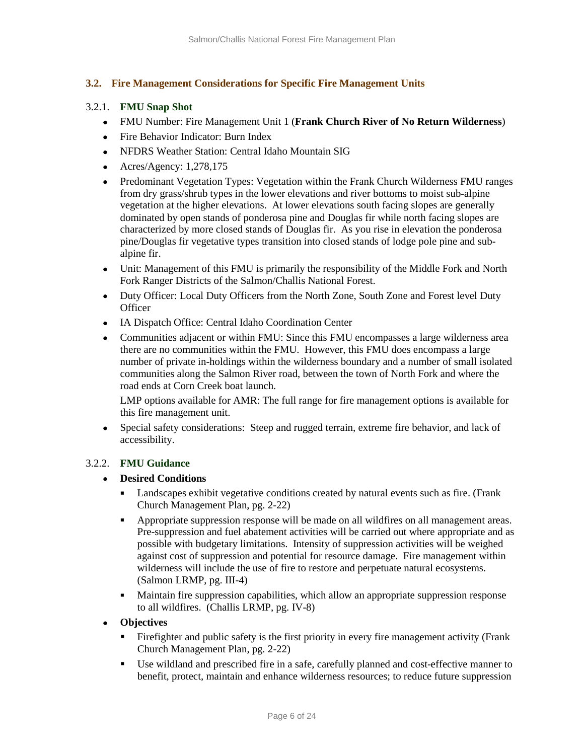# **3.2. Fire Management Considerations for Specific Fire Management Units**

# 3.2.1. **FMU Snap Shot**

- FMU Number: Fire Management Unit 1 (**Frank Church River of No Return Wilderness**)
- Fire Behavior Indicator: Burn Index
- NFDRS Weather Station: Central Idaho Mountain SIG
- Acres/Agency: 1,278,175
- Predominant Vegetation Types: Vegetation within the Frank Church Wilderness FMU ranges from dry grass/shrub types in the lower elevations and river bottoms to moist sub-alpine vegetation at the higher elevations. At lower elevations south facing slopes are generally dominated by open stands of ponderosa pine and Douglas fir while north facing slopes are characterized by more closed stands of Douglas fir. As you rise in elevation the ponderosa pine/Douglas fir vegetative types transition into closed stands of lodge pole pine and subalpine fir.
- Unit: Management of this FMU is primarily the responsibility of the Middle Fork and North Fork Ranger Districts of the Salmon/Challis National Forest.
- Duty Officer: Local Duty Officers from the North Zone, South Zone and Forest level Duty **Officer**
- IA Dispatch Office: Central Idaho Coordination Center
- Communities adjacent or within FMU: Since this FMU encompasses a large wilderness area there are no communities within the FMU. However, this FMU does encompass a large number of private in-holdings within the wilderness boundary and a number of small isolated communities along the Salmon River road, between the town of North Fork and where the road ends at Corn Creek boat launch.

LMP options available for AMR: The full range for fire management options is available for this fire management unit.

• Special safety considerations: Steep and rugged terrain, extreme fire behavior, and lack of accessibility.

## 3.2.2. **FMU Guidance**

## • **Desired Conditions**

- Landscapes exhibit vegetative conditions created by natural events such as fire. (Frank Church Management Plan, pg. 2-22)
- Appropriate suppression response will be made on all wildfires on all management areas. Pre-suppression and fuel abatement activities will be carried out where appropriate and as possible with budgetary limitations. Intensity of suppression activities will be weighed against cost of suppression and potential for resource damage. Fire management within wilderness will include the use of fire to restore and perpetuate natural ecosystems. (Salmon LRMP, pg. III-4)
- Maintain fire suppression capabilities, which allow an appropriate suppression response to all wildfires. (Challis LRMP, pg. IV-8)

## • **Objectives**

- Firefighter and public safety is the first priority in every fire management activity (Frank Church Management Plan, pg. 2-22)
- Use wildland and prescribed fire in a safe, carefully planned and cost-effective manner to benefit, protect, maintain and enhance wilderness resources; to reduce future suppression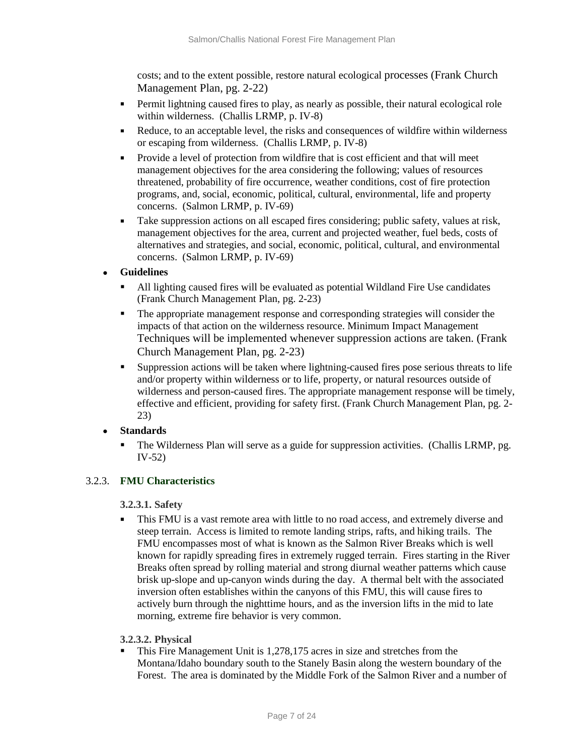costs; and to the extent possible, restore natural ecological processes (Frank Church Management Plan, pg. 2-22)

- **Permit lightning caused fires to play, as nearly as possible, their natural ecological role** within wilderness. (Challis LRMP, p. IV-8)
- Reduce, to an acceptable level, the risks and consequences of wildfire within wilderness or escaping from wilderness. (Challis LRMP, p. IV-8)
- Provide a level of protection from wildfire that is cost efficient and that will meet management objectives for the area considering the following; values of resources threatened, probability of fire occurrence, weather conditions, cost of fire protection programs, and, social, economic, political, cultural, environmental, life and property concerns. (Salmon LRMP, p. IV-69)
- Take suppression actions on all escaped fires considering; public safety, values at risk, management objectives for the area, current and projected weather, fuel beds, costs of alternatives and strategies, and social, economic, political, cultural, and environmental concerns. (Salmon LRMP, p. IV-69)
- **Guidelines** 
	- All lighting caused fires will be evaluated as potential Wildland Fire Use candidates (Frank Church Management Plan, pg. 2-23)
	- The appropriate management response and corresponding strategies will consider the impacts of that action on the wilderness resource. Minimum Impact Management Techniques will be implemented whenever suppression actions are taken. (Frank Church Management Plan, pg. 2-23)
	- Suppression actions will be taken where lightning-caused fires pose serious threats to life and/or property within wilderness or to life, property, or natural resources outside of wilderness and person-caused fires. The appropriate management response will be timely ,effective and efficient, providing for safety first. (Frank Church Management Plan, pg. 2- 23)
- **Standards** 
	- The Wilderness Plan will serve as a guide for suppression activities. (Challis LRMP, pg. IV-52)

# 3.2.3. **FMU Characteristics**

## **3.2.3.1. Safety**

This FMU is a vast remote area with little to no road access, and extremely diverse and steep terrain. Access is limited to remote landing strips, rafts, and hiking trails. The FMU encompasses most of what is known as the Salmon River Breaks which is well known for rapidly spreading fires in extremely rugged terrain. Fires starting in the River Breaks often spread by rolling material and strong diurnal weather patterns which cause brisk up-slope and up-canyon winds during the day. A thermal belt with the associated inversion often establishes within the canyons of this FMU, this will cause fires to actively burn through the nighttime hours, and as the inversion lifts in the mid to late morning, extreme fire behavior is very common.

## **3.2.3.2. Physical**

 This Fire Management Unit is 1,278,175 acres in size and stretches from the Montana/Idaho boundary south to the Stanely Basin along the western boundary of the Forest. The area is dominated by the Middle Fork of the Salmon River and a number of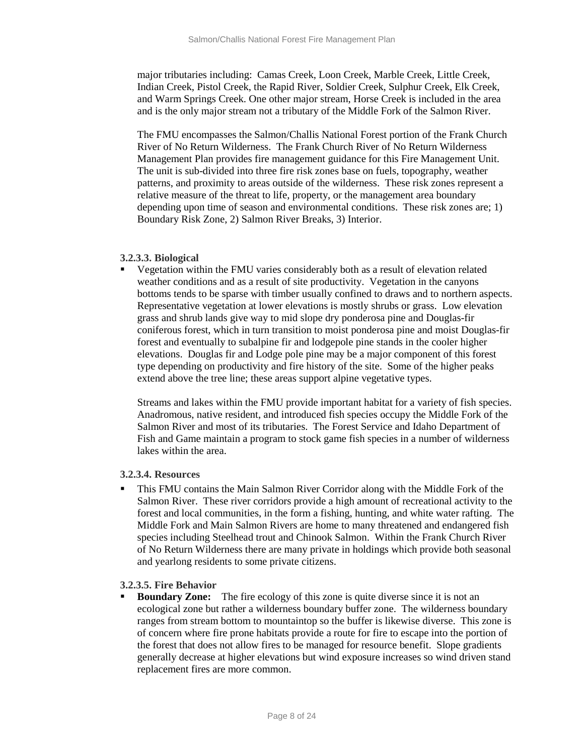major tributaries including: Camas Creek, Loon Creek, Marble Creek, Little Creek, Indian Creek, Pistol Creek, the Rapid River, Soldier Creek, Sulphur Creek, Elk Creek, and Warm Springs Creek. One other major stream, Horse Creek is included in the area and is the only major stream not a tributary of the Middle Fork of the Salmon River.

The FMU encompasses the Salmon/Challis National Forest portion of the Frank Church River of No Return Wilderness. The Frank Church River of No Return Wilderness Management Plan provides fire management guidance for this Fire Management Unit. The unit is sub-divided into three fire risk zones base on fuels, topography, weather patterns, and proximity to areas outside of the wilderness. These risk zones represent a relative measure of the threat to life, property, or the management area boundary depending upon time of season and environmental conditions. These risk zones are; 1) Boundary Risk Zone, 2) Salmon River Breaks, 3) Interior.

#### **3.2.3.3. Biological**

 Vegetation within the FMU varies considerably both as a result of elevation related weather conditions and as a result of site productivity. Vegetation in the canyons bottoms tends to be sparse with timber usually confined to draws and to northern aspects. Representative vegetation at lower elevations is mostly shrubs or grass. Low elevation grass and shrub lands give way to mid slope dry ponderosa pine and Douglas-fir coniferous forest, which in turn transition to moist ponderosa pine and moist Douglas-fir forest and eventually to subalpine fir and lodgepole pine stands in the cooler higher elevations. Douglas fir and Lodge pole pine may be a major component of this forest type depending on productivity and fire history of the site. Some of the higher peaks extend above the tree line; these areas support alpine vegetative types.

Streams and lakes within the FMU provide important habitat for a variety of fish species. Anadromous, native resident, and introduced fish species occupy the Middle Fork of the Salmon River and most of its tributaries. The Forest Service and Idaho Department of Fish and Game maintain a program to stock game fish species in a number of wilderness lakes within the area.

## **3.2.3.4. Resources**

 This FMU contains the Main Salmon River Corridor along with the Middle Fork of the Salmon River. These river corridors provide a high amount of recreational activity to the forest and local communities, in the form a fishing, hunting, and white water rafting. The Middle Fork and Main Salmon Rivers are home to many threatened and endangered fish species including Steelhead trout and Chinook Salmon. Within the Frank Church River of No Return Wilderness there are many private in holdings which provide both seasonal and yearlong residents to some private citizens.

## **3.2.3.5. Fire Behavior**

 **Boundary Zone:** The fire ecology of this zone is quite diverse since it is not an ecological zone but rather a wilderness boundary buffer zone. The wilderness boundary ranges from stream bottom to mountaintop so the buffer is likewise diverse. This zone is of concern where fire prone habitats provide a route for fire to escape into the portion of the forest that does not allow fires to be managed for resource benefit. Slope gradients generally decrease at higher elevations but wind exposure increases so wind driven stand replacement fires are more common.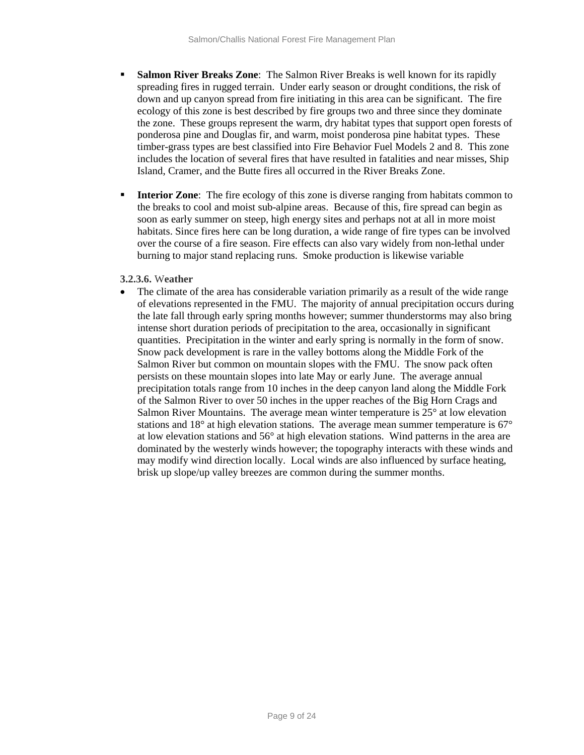- **Salmon River Breaks Zone:** The Salmon River Breaks is well known for its rapidly spreading fires in rugged terrain. Under early season or drought conditions, the risk of down and up canyon spread from fire initiating in this area can be significant. The fire ecology of this zone is best described by fire groups two and three since they dominate the zone. These groups represent the warm, dry habitat types that support open forests of ponderosa pine and Douglas fir, and warm, moist ponderosa pine habitat types. These timber-grass types are best classified into Fire Behavior Fuel Models 2 and 8. This zone includes the location of several fires that have resulted in fatalities and near misses, Ship Island, Cramer, and the Butte fires all occurred in the River Breaks Zone.
- **Interior Zone:** The fire ecology of this zone is diverse ranging from habitats common to the breaks to cool and moist sub-alpine areas. Because of this, fire spread can begin as soon as early summer on steep, high energy sites and perhaps not at all in more moist habitats. Since fires here can be long duration, a wide range of fire types can be involved over the course of a fire season. Fire effects can also vary widely from non-lethal under burning to major stand replacing runs. Smoke production is likewise variable

## **3.2.3.6.** W**eather**

The climate of the area has considerable variation primarily as a result of the wide range of elevations represented in the FMU. The majority of annual precipitation occurs during the late fall through early spring months however; summer thunderstorms may also bring intense short duration periods of precipitation to the area, occasionally in significant quantities. Precipitation in the winter and early spring is normally in the form of snow. Snow pack development is rare in the valley bottoms along the Middle Fork of the Salmon River but common on mountain slopes with the FMU. The snow pack often persists on these mountain slopes into late May or early June. The average annual precipitation totals range from 10 inches in the deep canyon land along the Middle Fork of the Salmon River to over 50 inches in the upper reaches of the Big Horn Crags and Salmon River Mountains. The average mean winter temperature is 25° at low elevation stations and 18° at high elevation stations. The average mean summer temperature is 67° at low elevation stations and 56° at high elevation stations. Wind patterns in the area are dominated by the westerly winds however; the topography interacts with these winds and may modify wind direction locally. Local winds are also influenced by surface heating, brisk up slope/up valley breezes are common during the summer months.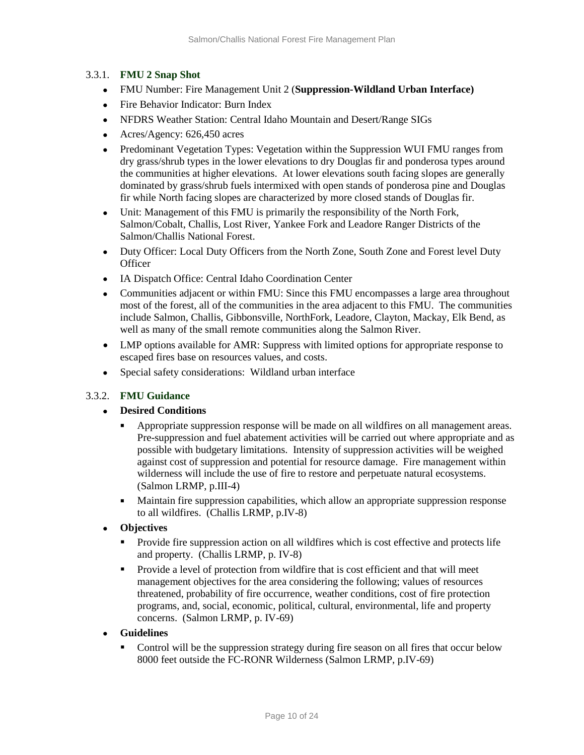## 3.3.1. **FMU 2 Snap Shot**

- FMU Number: Fire Management Unit 2 (**Suppression-Wildland Urban Interface)**
- Fire Behavior Indicator: Burn Index
- NFDRS Weather Station: Central Idaho Mountain and Desert/Range SIGs
- Acres/Agency: 626,450 acres
- Predominant Vegetation Types: Vegetation within the Suppression WUI FMU ranges from dry grass/shrub types in the lower elevations to dry Douglas fir and ponderosa types around the communities at higher elevations. At lower elevations south facing slopes are generally dominated by grass/shrub fuels intermixed with open stands of ponderosa pine and Douglas fir while North facing slopes are characterized by more closed stands of Douglas fir.
- Unit: Management of this FMU is primarily the responsibility of the North Fork, Salmon/Cobalt, Challis, Lost River, Yankee Fork and Leadore Ranger Districts of the Salmon/Challis National Forest.
- Duty Officer: Local Duty Officers from the North Zone, South Zone and Forest level Duty **Officer**
- IA Dispatch Office: Central Idaho Coordination Center
- Communities adjacent or within FMU: Since this FMU encompasses a large area throughout most of the forest, all of the communities in the area adjacent to this FMU. The communities include Salmon, Challis, Gibbonsville, NorthFork, Leadore, Clayton, Mackay, Elk Bend, as well as many of the small remote communities along the Salmon River.
- LMP options available for AMR: Suppress with limited options for appropriate response to escaped fires base on resources values, and costs.
- Special safety considerations: Wildland urban interface

## 3.3.2. **FMU Guidance**

## • **Desired Conditions**

- Appropriate suppression response will be made on all wildfires on all management areas. Pre-suppression and fuel abatement activities will be carried out where appropriate and as possible with budgetary limitations. Intensity of suppression activities will be weighed against cost of suppression and potential for resource damage. Fire management within wilderness will include the use of fire to restore and perpetuate natural ecosystems. (Salmon LRMP, p.III-4)
- Maintain fire suppression capabilities, which allow an appropriate suppression response to all wildfires. (Challis LRMP, p.IV-8)
- **Objectives**
	- **Provide fire suppression action on all wildfires which is cost effective and protects life** and property. (Challis LRMP, p. IV-8)
	- Provide a level of protection from wildfire that is cost efficient and that will meet management objectives for the area considering the following; values of resources threatened, probability of fire occurrence, weather conditions, cost of fire protection programs, and, social, economic, political, cultural, environmental, life and property concerns. (Salmon LRMP, p. IV-69)
- **Guidelines** 
	- **Control will be the suppression strategy during fire season on all fires that occur below** 8000 feet outside the FC-RONR Wilderness (Salmon LRMP, p.IV-69)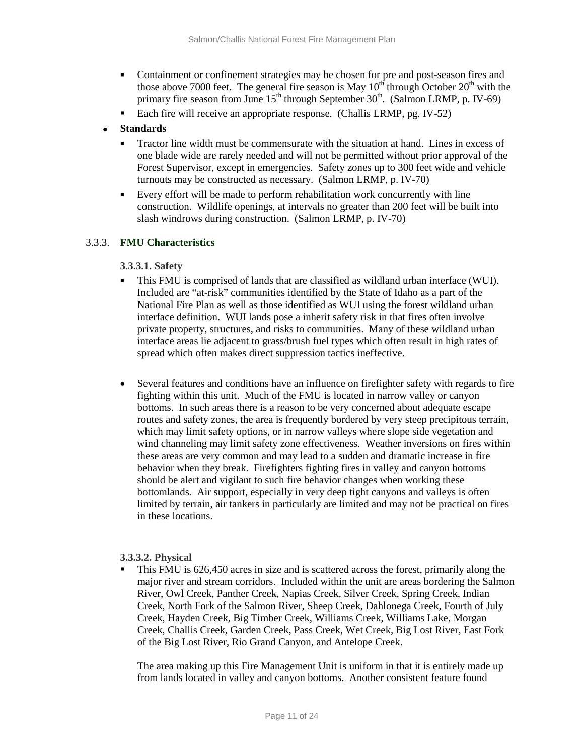- Containment or confinement strategies may be chosen for pre and post-season fires and those above 7000 feet. The general fire season is May 10<sup>th</sup> through October 20<sup>th</sup> with the primary fire season from June  $15<sup>th</sup>$  through September  $30<sup>th</sup>$ . (Salmon LRMP, p. IV-69)
- Each fire will receive an appropriate response. (Challis LRMP, pg. IV-52)

# • **Standards**

- Tractor line width must be commensurate with the situation at hand. Lines in excess of one blade wide are rarely needed and will not be permitted without prior approval of the Forest Supervisor, except in emergencies. Safety zones up to 300 feet wide and vehicle turnouts may be constructed as necessary. (Salmon LRMP, p. IV-70)
- Every effort will be made to perform rehabilitation work concurrently with line construction. Wildlife openings, at intervals no greater than 200 feet will be built into slash windrows during construction. (Salmon LRMP, p. IV-70)

# 3.3.3. **FMU Characteristics**

## **3.3.3.1. Safety**

- This FMU is comprised of lands that are classified as wildland urban interface (WUI). Included are "at-risk" communities identified by the State of Idaho as a part of the National Fire Plan as well as those identified as WUI using the forest wildland urban interface definition. WUI lands pose a inherit safety risk in that fires often involve private property, structures, and risks to communities. Many of these wildland urban interface areas lie adjacent to grass/brush fuel types which often result in high rates of spread which often makes direct suppression tactics ineffective.
- Several features and conditions have an influence on firefighter safety with regards to fire fighting within this unit. Much of the FMU is located in narrow valley or canyon bottoms. In such areas there is a reason to be very concerned about adequate escape routes and safety zones, the area is frequently bordered by very steep precipitous terrain, which may limit safety options, or in narrow valleys where slope side vegetation and wind channeling may limit safety zone effectiveness. Weather inversions on fires within these areas are very common and may lead to a sudden and dramatic increase in fire behavior when they break. Firefighters fighting fires in valley and canyon bottoms should be alert and vigilant to such fire behavior changes when working these bottomlands. Air support, especially in very deep tight canyons and valleys is often limited by terrain, air tankers in particularly are limited and may not be practical on fires in these locations.

## **3.3.3.2. Physical**

 This FMU is 626,450 acres in size and is scattered across the forest, primarily along the major river and stream corridors. Included within the unit are areas bordering the Salmon River, Owl Creek, Panther Creek, Napias Creek, Silver Creek, Spring Creek, Indian Creek, North Fork of the Salmon River, Sheep Creek, Dahlonega Creek, Fourth of July Creek, Hayden Creek, Big Timber Creek, Williams Creek, Williams Lake, Morgan Creek, Challis Creek, Garden Creek, Pass Creek, Wet Creek, Big Lost River, East Fork of the Big Lost River, Rio Grand Canyon, and Antelope Creek.

The area making up this Fire Management Unit is uniform in that it is entirely made up from lands located in valley and canyon bottoms. Another consistent feature found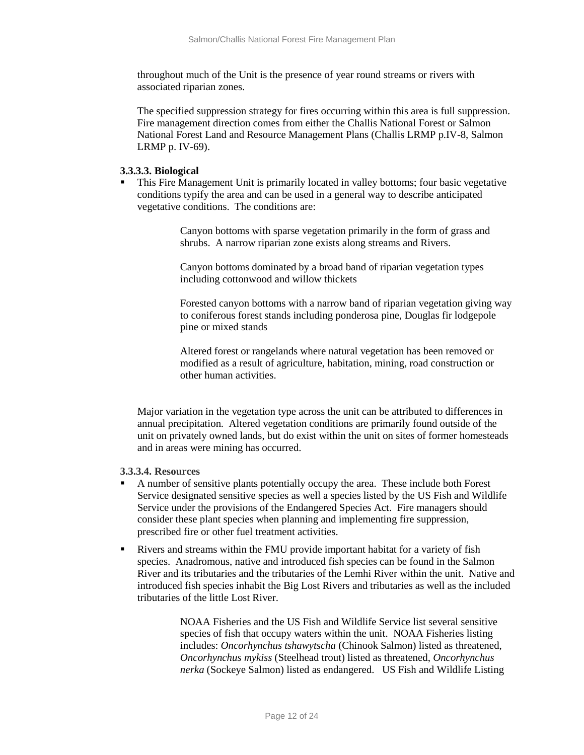throughout much of the Unit is the presence of year round streams or rivers with associated riparian zones.

The specified suppression strategy for fires occurring within this area is full suppression. Fire management direction comes from either the Challis National Forest or Salmon National Forest Land and Resource Management Plans (Challis LRMP p.IV-8, Salmon LRMP p. IV-69).

#### **3.3.3.3. Biological**

 This Fire Management Unit is primarily located in valley bottoms; four basic vegetative conditions typify the area and can be used in a general way to describe anticipated vegetative conditions. The conditions are:

> Canyon bottoms with sparse vegetation primarily in the form of grass and shrubs. A narrow riparian zone exists along streams and Rivers.

Canyon bottoms dominated by a broad band of riparian vegetation types including cottonwood and willow thickets

Forested canyon bottoms with a narrow band of riparian vegetation giving way to coniferous forest stands including ponderosa pine, Douglas fir lodgepole pine or mixed stands

Altered forest or rangelands where natural vegetation has been removed or modified as a result of agriculture, habitation, mining, road construction or other human activities.

Major variation in the vegetation type across the unit can be attributed to differences in annual precipitation. Altered vegetation conditions are primarily found outside of the unit on privately owned lands, but do exist within the unit on sites of former homesteads and in areas were mining has occurred.

#### **3.3.3.4. Resources**

- A number of sensitive plants potentially occupy the area. These include both Forest Service designated sensitive species as well a species listed by the US Fish and Wildlife Service under the provisions of the Endangered Species Act. Fire managers should consider these plant species when planning and implementing fire suppression, prescribed fire or other fuel treatment activities.
- Rivers and streams within the FMU provide important habitat for a variety of fish species. Anadromous, native and introduced fish species can be found in the Salmon River and its tributaries and the tributaries of the Lemhi River within the unit. Native and introduced fish species inhabit the Big Lost Rivers and tributaries as well as the included tributaries of the little Lost River.

NOAA Fisheries and the US Fish and Wildlife Service list several sensitive species of fish that occupy waters within the unit. NOAA Fisheries listing includes: *Oncorhynchus tshawytscha* (Chinook Salmon) listed as threatened, *Oncorhynchus mykiss* (Steelhead trout) listed as threatened, *Oncorhynchus nerka* (Sockeye Salmon) listed as endangered. US Fish and Wildlife Listing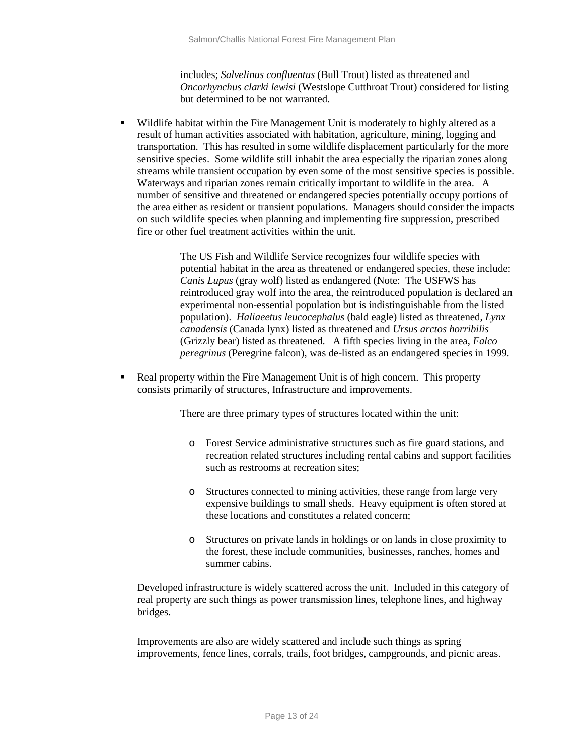includes; *Salvelinus confluentus* (Bull Trout) listed as threatened and *Oncorhynchus clarki lewisi* (Westslope Cutthroat Trout) considered for listing but determined to be not warranted.

 Wildlife habitat within the Fire Management Unit is moderately to highly altered as a result of human activities associated with habitation, agriculture, mining, logging and transportation. This has resulted in some wildlife displacement particularly for the more sensitive species. Some wildlife still inhabit the area especially the riparian zones along streams while transient occupation by even some of the most sensitive species is possible. Waterways and riparian zones remain critically important to wildlife in the area. A number of sensitive and threatened or endangered species potentially occupy portions of the area either as resident or transient populations. Managers should consider the impacts on such wildlife species when planning and implementing fire suppression, prescribed fire or other fuel treatment activities within the unit.

> The US Fish and Wildlife Service recognizes four wildlife species with potential habitat in the area as threatened or endangered species, these include: *Canis Lupus* (gray wolf) listed as endangered (Note: The USFWS has reintroduced gray wolf into the area, the reintroduced population is declared an experimental non-essential population but is indistinguishable from the listed population). *Haliaeetus leucocephalus* (bald eagle) listed as threatened, *Lynx canadensis* (Canada lynx) listed as threatened and *Ursus arctos horribilis* (Grizzly bear) listed as threatened. A fifth species living in the area, *Falco peregrinus* (Peregrine falcon), was de-listed as an endangered species in 1999.

• Real property within the Fire Management Unit is of high concern. This property consists primarily of structures, Infrastructure and improvements.

There are three primary types of structures located within the unit:

- o Forest Service administrative structures such as fire guard stations, and recreation related structures including rental cabins and support facilities such as restrooms at recreation sites;
- o Structures connected to mining activities, these range from large very expensive buildings to small sheds. Heavy equipment is often stored at these locations and constitutes a related concern;
- o Structures on private lands in holdings or on lands in close proximity to the forest, these include communities, businesses, ranches, homes and summer cabins.

Developed infrastructure is widely scattered across the unit. Included in this category of real property are such things as power transmission lines, telephone lines, and highway bridges.

Improvements are also are widely scattered and include such things as spring improvements, fence lines, corrals, trails, foot bridges, campgrounds, and picnic areas.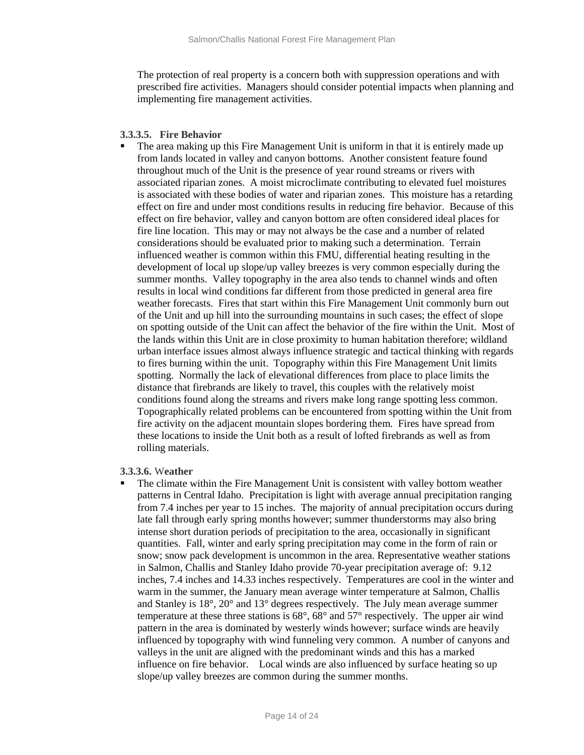The protection of real property is a concern both with suppression operations and with prescribed fire activities. Managers should consider potential impacts when planning and implementing fire management activities.

#### **3.3.3.5. Fire Behavior**

 The area making up this Fire Management Unit is uniform in that it is entirely made up from lands located in valley and canyon bottoms. Another consistent feature found throughout much of the Unit is the presence of year round streams or rivers with associated riparian zones. A moist microclimate contributing to elevated fuel moistures is associated with these bodies of water and riparian zones. This moisture has a retarding effect on fire and under most conditions results in reducing fire behavior. Because of this effect on fire behavior, valley and canyon bottom are often considered ideal places for fire line location. This may or may not always be the case and a number of related considerations should be evaluated prior to making such a determination. Terrain influenced weather is common within this FMU, differential heating resulting in the development of local up slope/up valley breezes is very common especially during the summer months. Valley topography in the area also tends to channel winds and often results in local wind conditions far different from those predicted in general area fire weather forecasts. Fires that start within this Fire Management Unit commonly burn out of the Unit and up hill into the surrounding mountains in such cases; the effect of slope on spotting outside of the Unit can affect the behavior of the fire within the Unit. Most of the lands within this Unit are in close proximity to human habitation therefore; wildland urban interface issues almost always influence strategic and tactical thinking with regards to fires burning within the unit. Topography within this Fire Management Unit limits spotting. Normally the lack of elevational differences from place to place limits the distance that firebrands are likely to travel, this couples with the relatively moist conditions found along the streams and rivers make long range spotting less common. Topographically related problems can be encountered from spotting within the Unit from fire activity on the adjacent mountain slopes bordering them. Fires have spread from these locations to inside the Unit both as a result of lofted firebrands as well as from rolling materials.

## **3.3.3.6.** W**eather**

 The climate within the Fire Management Unit is consistent with valley bottom weather patterns in Central Idaho. Precipitation is light with average annual precipitation ranging from 7.4 inches per year to 15 inches. The majority of annual precipitation occurs during late fall through early spring months however; summer thunderstorms may also bring intense short duration periods of precipitation to the area, occasionally in significant quantities. Fall, winter and early spring precipitation may come in the form of rain or snow; snow pack development is uncommon in the area. Representative weather stations in Salmon, Challis and Stanley Idaho provide 70-year precipitation average of: 9.12 inches, 7.4 inches and 14.33 inches respectively. Temperatures are cool in the winter and warm in the summer, the January mean average winter temperature at Salmon, Challis and Stanley is 18°, 20° and 13° degrees respectively. The July mean average summer temperature at these three stations is  $68^{\circ}$ ,  $68^{\circ}$  and  $57^{\circ}$  respectively. The upper air wind pattern in the area is dominated by westerly winds however; surface winds are heavily influenced by topography with wind funneling very common. A number of canyons and valleys in the unit are aligned with the predominant winds and this has a marked influence on fire behavior. Local winds are also influenced by surface heating so up slope/up valley breezes are common during the summer months.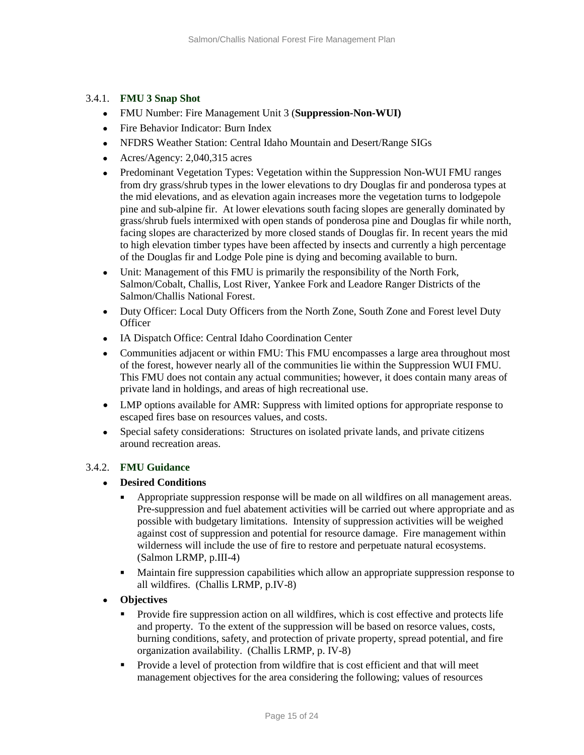# 3.4.1. **FMU 3 Snap Shot**

- FMU Number: Fire Management Unit 3 (**Suppression-Non-WUI)**
- Fire Behavior Indicator: Burn Index
- NFDRS Weather Station: Central Idaho Mountain and Desert/Range SIGs
- Acres/Agency: 2,040,315 acres
- Predominant Vegetation Types: Vegetation within the Suppression Non-WUI FMU ranges from dry grass/shrub types in the lower elevations to dry Douglas fir and ponderosa types at the mid elevations, and as elevation again increases more the vegetation turns to lodgepole pine and sub-alpine fir. At lower elevations south facing slopes are generally dominated by grass/shrub fuels intermixed with open stands of ponderosa pine and Douglas fir while north, facing slopes are characterized by more closed stands of Douglas fir. In recent years the mid to high elevation timber types have been affected by insects and currently a high percentage of the Douglas fir and Lodge Pole pine is dying and becoming available to burn.
- Unit: Management of this FMU is primarily the responsibility of the North Fork, Salmon/Cobalt, Challis, Lost River, Yankee Fork and Leadore Ranger Districts of the Salmon/Challis National Forest.
- Duty Officer: Local Duty Officers from the North Zone, South Zone and Forest level Duty **Officer**
- IA Dispatch Office: Central Idaho Coordination Center
- Communities adjacent or within FMU: This FMU encompasses a large area throughout most of the forest, however nearly all of the communities lie within the Suppression WUI FMU. This FMU does not contain any actual communities; however, it does contain many areas of private land in holdings, and areas of high recreational use.
- LMP options available for AMR: Suppress with limited options for appropriate response to escaped fires base on resources values, and costs.
- Special safety considerations: Structures on isolated private lands, and private citizens around recreation areas.

# 3.4.2. **FMU Guidance**

## • **Desired Conditions**

- Appropriate suppression response will be made on all wildfires on all management areas. Pre-suppression and fuel abatement activities will be carried out where appropriate and as possible with budgetary limitations. Intensity of suppression activities will be weighed against cost of suppression and potential for resource damage. Fire management within wilderness will include the use of fire to restore and perpetuate natural ecosystems. (Salmon LRMP, p.III-4)
- Maintain fire suppression capabilities which allow an appropriate suppression response to all wildfires. (Challis LRMP, p.IV-8)
- **Objectives**
	- Provide fire suppression action on all wildfires, which is cost effective and protects life and property. To the extent of the suppression will be based on resorce values, costs, burning conditions, safety, and protection of private property, spread potential, and fire organization availability. (Challis LRMP, p. IV-8)
	- **Provide a level of protection from wildfire that is cost efficient and that will meet** management objectives for the area considering the following; values of resources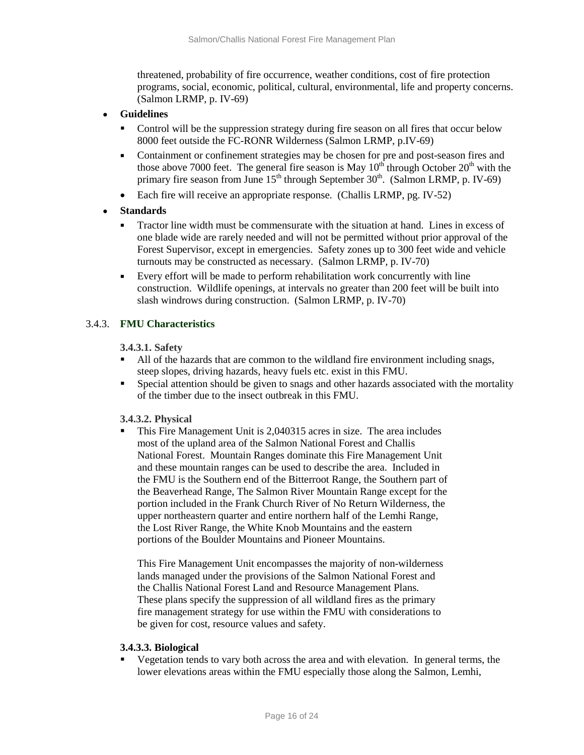threatened, probability of fire occurrence, weather conditions, cost of fire protection programs, social, economic, political, cultural, environmental, life and property concerns. (Salmon LRMP, p. IV-69)

- **Guidelines** 
	- Control will be the suppression strategy during fire season on all fires that occur below 8000 feet outside the FC-RONR Wilderness (Salmon LRMP, p.IV-69)
	- Containment or confinement strategies may be chosen for pre and post-season fires and those above 7000 feet. The general fire season is May  $10^{th}$  through October  $20^{th}$  with the primary fire season from June  $15<sup>th</sup>$  through September  $30<sup>th</sup>$ . (Salmon LRMP, p. IV-69)
	- Each fire will receive an appropriate response. (Challis LRMP, pg. IV-52)
- **Standards** 
	- Tractor line width must be commensurate with the situation at hand. Lines in excess of one blade wide are rarely needed and will not be permitted without prior approval of the Forest Supervisor, except in emergencies. Safety zones up to 300 feet wide and vehicle turnouts may be constructed as necessary. (Salmon LRMP, p. IV-70)
	- Every effort will be made to perform rehabilitation work concurrently with line construction. Wildlife openings, at intervals no greater than 200 feet will be built into slash windrows during construction. (Salmon LRMP, p. IV-70)

# 3.4.3. **FMU Characteristics**

## **3.4.3.1. Safety**

- All of the hazards that are common to the wildland fire environment including snags, steep slopes, driving hazards, heavy fuels etc. exist in this FMU.
- Special attention should be given to snags and other hazards associated with the mortality of the timber due to the insect outbreak in this FMU.

## **3.4.3.2. Physical**

 This Fire Management Unit is 2,040315 acres in size. The area includes most of the upland area of the Salmon National Forest and Challis National Forest. Mountain Ranges dominate this Fire Management Unit and these mountain ranges can be used to describe the area. Included in the FMU is the Southern end of the Bitterroot Range, the Southern part of the Beaverhead Range, The Salmon River Mountain Range except for the portion included in the Frank Church River of No Return Wilderness, the upper northeastern quarter and entire northern half of the Lemhi Range, the Lost River Range, the White Knob Mountains and the eastern portions of the Boulder Mountains and Pioneer Mountains.

This Fire Management Unit encompasses the majority of non-wilderness lands managed under the provisions of the Salmon National Forest and the Challis National Forest Land and Resource Management Plans. These plans specify the suppression of all wildland fires as the primary fire management strategy for use within the FMU with considerations to be given for cost, resource values and safety.

## **3.4.3.3. Biological**

 Vegetation tends to vary both across the area and with elevation. In general terms, the lower elevations areas within the FMU especially those along the Salmon, Lemhi,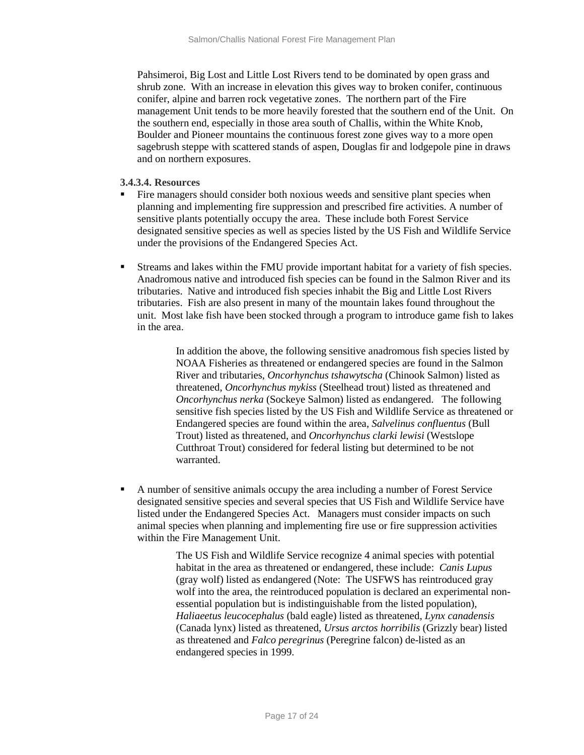Pahsimeroi, Big Lost and Little Lost Rivers tend to be dominated by open grass and shrub zone. With an increase in elevation this gives way to broken conifer, continuous conifer, alpine and barren rock vegetative zones. The northern part of the Fire management Unit tends to be more heavily forested that the southern end of the Unit. On the southern end, especially in those area south of Challis, within the White Knob, Boulder and Pioneer mountains the continuous forest zone gives way to a more open sagebrush steppe with scattered stands of aspen, Douglas fir and lodgepole pine in draws and on northern exposures.

#### **3.4.3.4. Resources**

- Fire managers should consider both noxious weeds and sensitive plant species when planning and implementing fire suppression and prescribed fire activities. A number of sensitive plants potentially occupy the area. These include both Forest Service designated sensitive species as well as species listed by the US Fish and Wildlife Service under the provisions of the Endangered Species Act.
- Streams and lakes within the FMU provide important habitat for a variety of fish species. Anadromous native and introduced fish species can be found in the Salmon River and its tributaries. Native and introduced fish species inhabit the Big and Little Lost Rivers tributaries. Fish are also present in many of the mountain lakes found throughout the unit. Most lake fish have been stocked through a program to introduce game fish to lakes in the area.

In addition the above, the following sensitive anadromous fish species listed by NOAA Fisheries as threatened or endangered species are found in the Salmon River and tributaries, *Oncorhynchus tshawytscha* (Chinook Salmon) listed as threatened, *Oncorhynchus mykiss* (Steelhead trout) listed as threatened and *Oncorhynchus nerka* (Sockeye Salmon) listed as endangered. The following sensitive fish species listed by the US Fish and Wildlife Service as threatened or Endangered species are found within the area, *Salvelinus confluentus* (Bull Trout) listed as threatened, and *Oncorhynchus clarki lewisi* (Westslope Cutthroat Trout) considered for federal listing but determined to be not warranted.

 A number of sensitive animals occupy the area including a number of Forest Service designated sensitive species and several species that US Fish and Wildlife Service have listed under the Endangered Species Act. Managers must consider impacts on such animal species when planning and implementing fire use or fire suppression activities within the Fire Management Unit.

> The US Fish and Wildlife Service recognize 4 animal species with potential habitat in the area as threatened or endangered, these include: *Canis Lupus* (gray wolf) listed as endangered (Note: The USFWS has reintroduced gray wolf into the area, the reintroduced population is declared an experimental nonessential population but is indistinguishable from the listed population), *Haliaeetus leucocephalus* (bald eagle) listed as threatened, *Lynx canadensis* (Canada lynx) listed as threatened, *Ursus arctos horribilis* (Grizzly bear) listed as threatened and *Falco peregrinus* (Peregrine falcon) de-listed as an endangered species in 1999.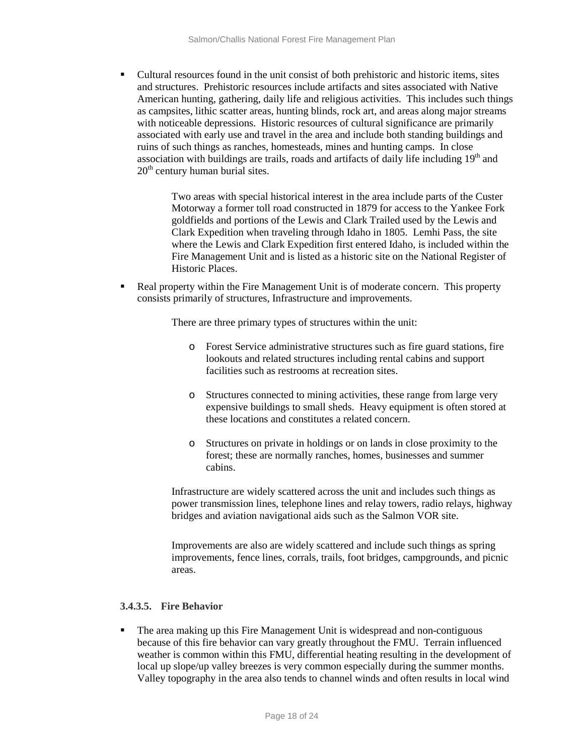Cultural resources found in the unit consist of both prehistoric and historic items, sites and structures. Prehistoric resources include artifacts and sites associated with Native American hunting, gathering, daily life and religious activities. This includes such things as campsites, lithic scatter areas, hunting blinds, rock art, and areas along major streams with noticeable depressions. Historic resources of cultural significance are primarily associated with early use and travel in the area and include both standing buildings and ruins of such things as ranches, homesteads, mines and hunting camps. In close association with buildings are trails, roads and artifacts of daily life including  $19<sup>th</sup>$  and  $20<sup>th</sup>$  century human burial sites.

> Two areas with special historical interest in the area include parts of the Custer Motorway a former toll road constructed in 1879 for access to the Yankee Fork goldfields and portions of the Lewis and Clark Trailed used by the Lewis and Clark Expedition when traveling through Idaho in 1805. Lemhi Pass, the site where the Lewis and Clark Expedition first entered Idaho, is included within the Fire Management Unit and is listed as a historic site on the National Register of Historic Places.

• Real property within the Fire Management Unit is of moderate concern. This property consists primarily of structures, Infrastructure and improvements.

There are three primary types of structures within the unit:

- o Forest Service administrative structures such as fire guard stations, fire lookouts and related structures including rental cabins and support facilities such as restrooms at recreation sites.
- o Structures connected to mining activities, these range from large very expensive buildings to small sheds. Heavy equipment is often stored at these locations and constitutes a related concern.
- o Structures on private in holdings or on lands in close proximity to the forest; these are normally ranches, homes, businesses and summer cabins.

Infrastructure are widely scattered across the unit and includes such things as power transmission lines, telephone lines and relay towers, radio relays, highway bridges and aviation navigational aids such as the Salmon VOR site.

Improvements are also are widely scattered and include such things as spring improvements, fence lines, corrals, trails, foot bridges, campgrounds, and picnic areas.

## **3.4.3.5. Fire Behavior**

 The area making up this Fire Management Unit is widespread and non-contiguous because of this fire behavior can vary greatly throughout the FMU. Terrain influenced weather is common within this FMU, differential heating resulting in the development of local up slope/up valley breezes is very common especially during the summer months. Valley topography in the area also tends to channel winds and often results in local wind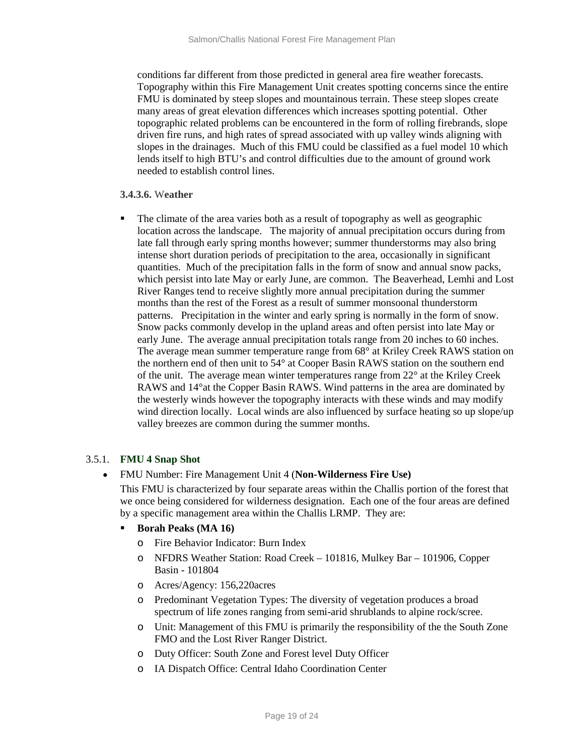conditions far different from those predicted in general area fire weather forecasts. Topography within this Fire Management Unit creates spotting concerns since the entire FMU is dominated by steep slopes and mountainous terrain. These steep slopes create many areas of great elevation differences which increases spotting potential. Other topographic related problems can be encountered in the form of rolling firebrands, slope driven fire runs, and high rates of spread associated with up valley winds aligning with slopes in the drainages. Much of this FMU could be classified as a fuel model 10 which lends itself to high BTU's and control difficulties due to the amount of ground work needed to establish control lines.

#### **3.4.3.6.** W**eather**

 The climate of the area varies both as a result of topography as well as geographic location across the landscape. The majority of annual precipitation occurs during from late fall through early spring months however; summer thunderstorms may also bring intense short duration periods of precipitation to the area, occasionally in significant quantities. Much of the precipitation falls in the form of snow and annual snow packs, which persist into late May or early June, are common. The Beaverhead, Lemhi and Lost River Ranges tend to receive slightly more annual precipitation during the summer months than the rest of the Forest as a result of summer monsoonal thunderstorm patterns. Precipitation in the winter and early spring is normally in the form of snow. Snow packs commonly develop in the upland areas and often persist into late May or early June. The average annual precipitation totals range from 20 inches to 60 inches. The average mean summer temperature range from 68° at Kriley Creek RAWS station on the northern end of then unit to 54° at Cooper Basin RAWS station on the southern end of the unit. The average mean winter temperatures range from 22° at the Kriley Creek RAWS and 14°at the Copper Basin RAWS. Wind patterns in the area are dominated by the westerly winds however the topography interacts with these winds and may modify wind direction locally. Local winds are also influenced by surface heating so up slope/up valley breezes are common during the summer months.

## 3.5.1. **FMU 4 Snap Shot**

• FMU Number: Fire Management Unit 4 (**Non-Wilderness Fire Use)**

This FMU is characterized by four separate areas within the Challis portion of the forest that we once being considered for wilderness designation. Each one of the four areas are defined by a specific management area within the Challis LRMP. They are:

- **Borah Peaks (MA 16)** 
	- o Fire Behavior Indicator: Burn Index
	- o NFDRS Weather Station: Road Creek 101816, Mulkey Bar 101906, Copper Basin - 101804
	- o Acres/Agency: 156,220acres
	- o Predominant Vegetation Types: The diversity of vegetation produces a broad spectrum of life zones ranging from semi-arid shrublands to alpine rock/scree.
	- o Unit: Management of this FMU is primarily the responsibility of the the South Zone FMO and the Lost River Ranger District.
	- o Duty Officer: South Zone and Forest level Duty Officer
	- o IA Dispatch Office: Central Idaho Coordination Center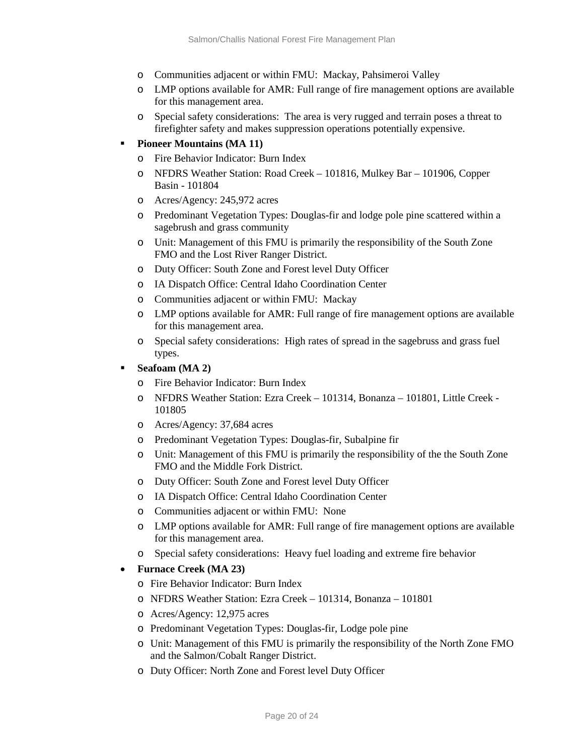- o Communities adjacent or within FMU: Mackay, Pahsimeroi Valley
- o LMP options available for AMR: Full range of fire management options are available for this management area.
- o Special safety considerations: The area is very rugged and terrain poses a threat to firefighter safety and makes suppression operations potentially expensive.

## **Pioneer Mountains (MA 11)**

- o Fire Behavior Indicator: Burn Index
- o NFDRS Weather Station: Road Creek 101816, Mulkey Bar 101906, Copper Basin - 101804
- o Acres/Agency: 245,972 acres
- o Predominant Vegetation Types: Douglas-fir and lodge pole pine scattered within a sagebrush and grass community
- o Unit: Management of this FMU is primarily the responsibility of the South Zone FMO and the Lost River Ranger District.
- o Duty Officer: South Zone and Forest level Duty Officer
- o IA Dispatch Office: Central Idaho Coordination Center
- o Communities adjacent or within FMU: Mackay
- o LMP options available for AMR: Full range of fire management options are available for this management area.
- o Special safety considerations: High rates of spread in the sagebruss and grass fuel types.

## **Seafoam (MA 2)**

- o Fire Behavior Indicator: Burn Index
- o NFDRS Weather Station: Ezra Creek 101314, Bonanza 101801, Little Creek 101805
- o Acres/Agency: 37,684 acres
- o Predominant Vegetation Types: Douglas-fir, Subalpine fir
- o Unit: Management of this FMU is primarily the responsibility of the the South Zone FMO and the Middle Fork District.
- o Duty Officer: South Zone and Forest level Duty Officer
- o IA Dispatch Office: Central Idaho Coordination Center
- o Communities adjacent or within FMU: None
- o LMP options available for AMR: Full range of fire management options are available for this management area.
- o Special safety considerations: Heavy fuel loading and extreme fire behavior

## • **Furnace Creek (MA 23)**

- o Fire Behavior Indicator: Burn Index
- o NFDRS Weather Station: Ezra Creek 101314, Bonanza 101801
- o Acres/Agency: 12,975 acres
- o Predominant Vegetation Types: Douglas-fir, Lodge pole pine
- o Unit: Management of this FMU is primarily the responsibility of the North Zone FMO and the Salmon/Cobalt Ranger District.
- o Duty Officer: North Zone and Forest level Duty Officer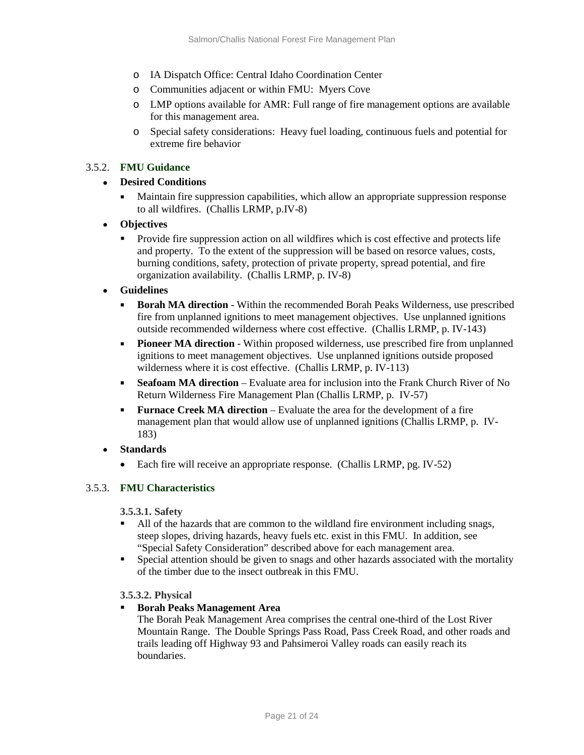- o IA Dispatch Office: Central Idaho Coordination Center
- o Communities adjacent or within FMU: Myers Cove
- o LMP options available for AMR: Full range of fire management options are available for this management area.
- o Special safety considerations: Heavy fuel loading, continuous fuels and potential for extreme fire behavior

## 3.5.2. **FMU Guidance**

## • **Desired Conditions**

- Maintain fire suppression capabilities, which allow an appropriate suppression response to all wildfires. (Challis LRMP, p.IV-8)
- **Objectives**
	- **Provide fire suppression action on all wildfires which is cost effective and protects life** and property. To the extent of the suppression will be based on resorce values, costs, burning conditions, safety, protection of private property, spread potential, and fire organization availability. (Challis LRMP, p. IV-8)
- **Guidelines** 
	- **Borah MA direction** Within the recommended Borah Peaks Wilderness, use prescribed fire from unplanned ignitions to meet management objectives. Use unplanned ignitions outside recommended wilderness where cost effective. (Challis LRMP, p. IV-143)
	- **Pioneer MA direction** Within proposed wilderness, use prescribed fire from unplanned ignitions to meet management objectives. Use unplanned ignitions outside proposed wilderness where it is cost effective. (Challis LRMP, p. IV-113)
	- **Seafoam MA direction** Evaluate area for inclusion into the Frank Church River of No Return Wilderness Fire Management Plan (Challis LRMP, p. IV-57)
	- **Furnace Creek MA direction** Evaluate the area for the development of a fire management plan that would allow use of unplanned ignitions (Challis LRMP, p. IV-183)
- **Standards** 
	- Each fire will receive an appropriate response. (Challis LRMP, pg. IV-52)

## 3.5.3. **FMU Characteristics**

**3.5.3.1. Safety**

- All of the hazards that are common to the wildland fire environment including snags, steep slopes, driving hazards, heavy fuels etc. exist in this FMU. In addition, see "Special Safety Consideration" described above for each management area.
- **Special attention should be given to snags and other hazards associated with the mortality** of the timber due to the insect outbreak in this FMU.

## **3.5.3.2. Physical**

## **Borah Peaks Management Area**

The Borah Peak Management Area comprises the central one-third of the Lost River Mountain Range. The Double Springs Pass Road, Pass Creek Road, and other roads and trails leading off Highway 93 and Pahsimeroi Valley roads can easily reach its boundaries.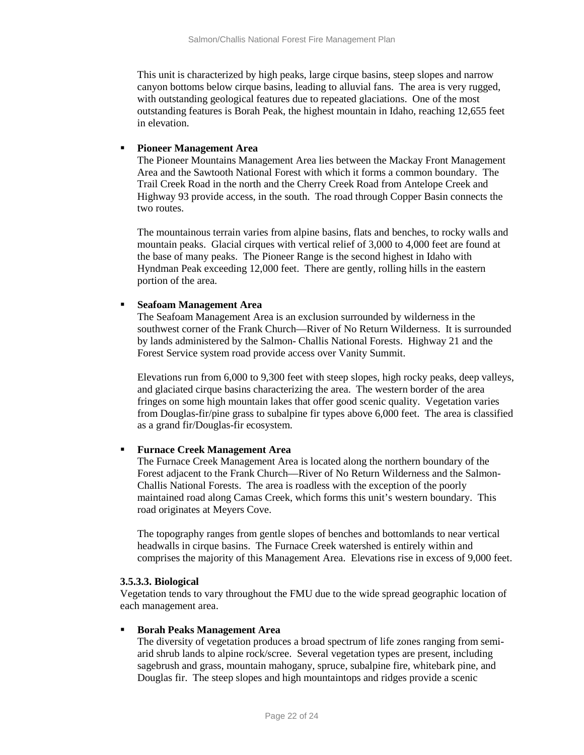This unit is characterized by high peaks, large cirque basins, steep slopes and narrow canyon bottoms below cirque basins, leading to alluvial fans. The area is very rugged, with outstanding geological features due to repeated glaciations. One of the most outstanding features is Borah Peak, the highest mountain in Idaho, reaching 12,655 feet in elevation.

#### **Pioneer Management Area**

The Pioneer Mountains Management Area lies between the Mackay Front Management Area and the Sawtooth National Forest with which it forms a common boundary. The Trail Creek Road in the north and the Cherry Creek Road from Antelope Creek and Highway 93 provide access, in the south. The road through Copper Basin connects the two routes.

The mountainous terrain varies from alpine basins, flats and benches, to rocky walls and mountain peaks. Glacial cirques with vertical relief of 3,000 to 4,000 feet are found at the base of many peaks. The Pioneer Range is the second highest in Idaho with Hyndman Peak exceeding 12,000 feet. There are gently, rolling hills in the eastern portion of the area.

#### **Seafoam Management Area**

The Seafoam Management Area is an exclusion surrounded by wilderness in the southwest corner of the Frank Church—River of No Return Wilderness. It is surrounded by lands administered by the Salmon- Challis National Forests. Highway 21 and the Forest Service system road provide access over Vanity Summit.

Elevations run from 6,000 to 9,300 feet with steep slopes, high rocky peaks, deep valleys, and glaciated cirque basins characterizing the area. The western border of the area fringes on some high mountain lakes that offer good scenic quality. Vegetation varies from Douglas-fir/pine grass to subalpine fir types above 6,000 feet. The area is classified as a grand fir/Douglas-fir ecosystem.

#### **Furnace Creek Management Area**

The Furnace Creek Management Area is located along the northern boundary of the Forest adjacent to the Frank Church—River of No Return Wilderness and the Salmon-Challis National Forests. The area is roadless with the exception of the poorly maintained road along Camas Creek, which forms this unit's western boundary. This road originates at Meyers Cove.

The topography ranges from gentle slopes of benches and bottomlands to near vertical headwalls in cirque basins. The Furnace Creek watershed is entirely within and comprises the majority of this Management Area. Elevations rise in excess of 9,000 feet.

#### **3.5.3.3. Biological**

Vegetation tends to vary throughout the FMU due to the wide spread geographic location of each management area.

#### **Borah Peaks Management Area**

The diversity of vegetation produces a broad spectrum of life zones ranging from semiarid shrub lands to alpine rock/scree. Several vegetation types are present, including sagebrush and grass, mountain mahogany, spruce, subalpine fire, whitebark pine, and Douglas fir. The steep slopes and high mountaintops and ridges provide a scenic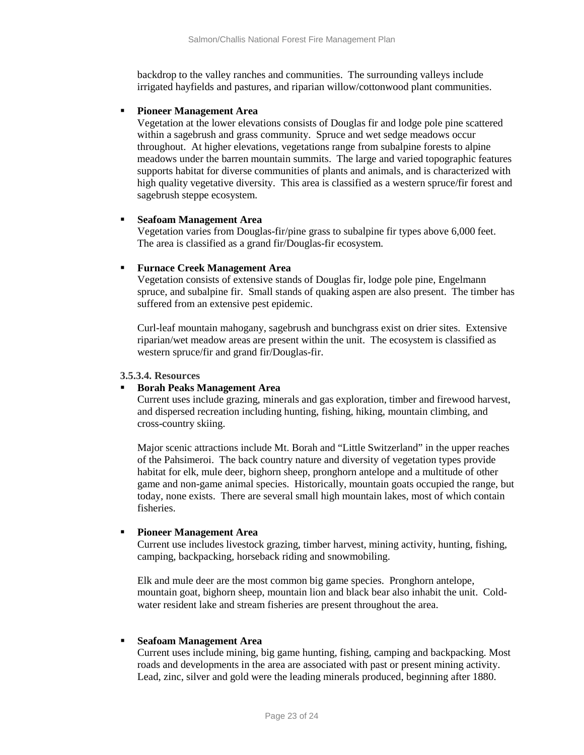backdrop to the valley ranches and communities. The surrounding valleys include irrigated hayfields and pastures, and riparian willow/cottonwood plant communities.

#### **Pioneer Management Area**

Vegetation at the lower elevations consists of Douglas fir and lodge pole pine scattered within a sagebrush and grass community. Spruce and wet sedge meadows occur throughout. At higher elevations, vegetations range from subalpine forests to alpine meadows under the barren mountain summits. The large and varied topographic features supports habitat for diverse communities of plants and animals, and is characterized with high quality vegetative diversity. This area is classified as a western spruce/fir forest and sagebrush steppe ecosystem.

#### **Seafoam Management Area**

Vegetation varies from Douglas-fir/pine grass to subalpine fir types above 6,000 feet. The area is classified as a grand fir/Douglas-fir ecosystem.

#### **Furnace Creek Management Area**

Vegetation consists of extensive stands of Douglas fir, lodge pole pine, Engelmann spruce, and subalpine fir. Small stands of quaking aspen are also present. The timber has suffered from an extensive pest epidemic.

Curl-leaf mountain mahogany, sagebrush and bunchgrass exist on drier sites. Extensive riparian/wet meadow areas are present within the unit. The ecosystem is classified as western spruce/fir and grand fir/Douglas-fir.

#### **3.5.3.4. Resources**

## **Borah Peaks Management Area**

Current uses include grazing, minerals and gas exploration, timber and firewood harvest, and dispersed recreation including hunting, fishing, hiking, mountain climbing, and cross-country skiing.

Major scenic attractions include Mt. Borah and "Little Switzerland" in the upper reaches of the Pahsimeroi. The back country nature and diversity of vegetation types provide habitat for elk, mule deer, bighorn sheep, pronghorn antelope and a multitude of other game and non-game animal species. Historically, mountain goats occupied the range, but today, none exists. There are several small high mountain lakes, most of which contain fisheries.

## **Pioneer Management Area**

Current use includes livestock grazing, timber harvest, mining activity, hunting, fishing, camping, backpacking, horseback riding and snowmobiling.

Elk and mule deer are the most common big game species. Pronghorn antelope, mountain goat, bighorn sheep, mountain lion and black bear also inhabit the unit. Coldwater resident lake and stream fisheries are present throughout the area.

## **Seafoam Management Area**

Current uses include mining, big game hunting, fishing, camping and backpacking. Most roads and developments in the area are associated with past or present mining activity. Lead, zinc, silver and gold were the leading minerals produced, beginning after 1880.